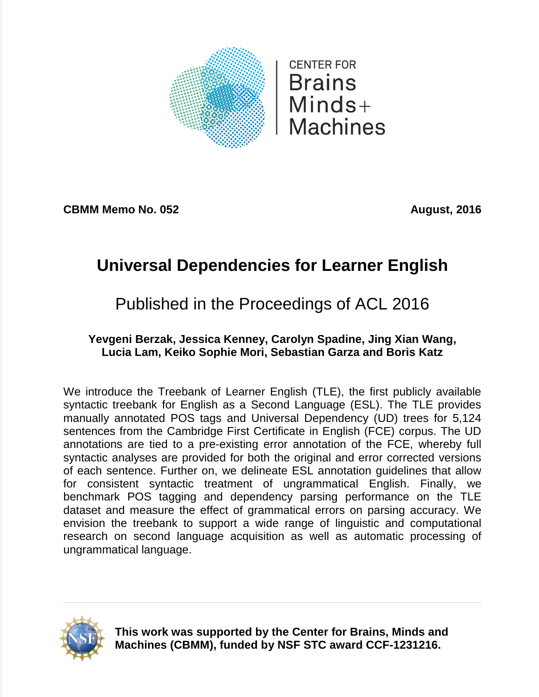

**CBMM Memo No. 052 August, 2016** 

# **Universal Dependencies for Learner English**

# Published in the Proceedings of ACL 2016

# **Yevgeni Berzak, Jessica Kenney, Carolyn Spadine, Jing Xian Wang, Lucia Lam, Keiko Sophie Mori, Sebastian Garza and Boris Katz**

We introduce the Treebank of Learner English (TLE), the first publicly available syntactic treebank for English as a Second Language (ESL). The TLE provides manually annotated POS tags and Universal Dependency (UD) trees for 5,124 sentences from the Cambridge First Certificate in English (FCE) corpus. The UD annotations are tied to a pre-existing error annotation of the FCE, whereby full syntactic analyses are provided for both the original and error corrected versions of each sentence. Further on, we delineate ESL annotation guidelines that allow for consistent syntactic treatment of ungrammatical English. Finally, we benchmark POS tagging and dependency parsing performance on the TLE dataset and measure the effect of grammatical errors on parsing accuracy. We envision the treebank to support a wide range of linguistic and computational research on second language acquisition as well as automatic processing of ungrammatical language.



**This work was supported by the Center for Brains, Minds and Machines (CBMM), funded by NSF STC award CCF-1231216.**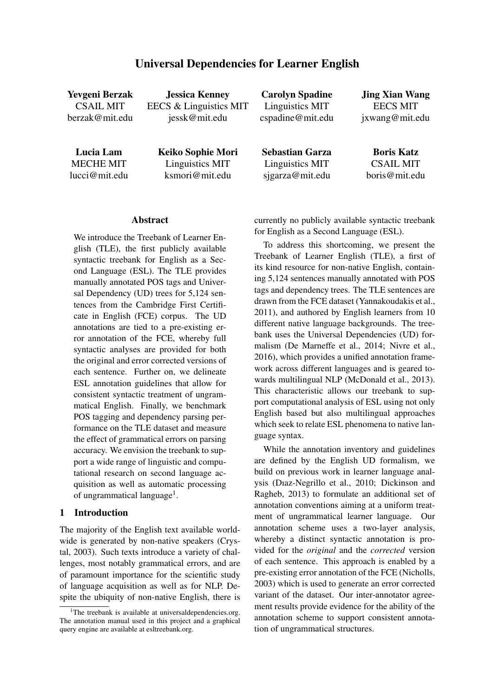# Universal Dependencies for Learner English

| <b>Yevgeni Berzak</b>                          | <b>Jessica Kenney</b>                                  | <b>Carolyn Spadine</b>                                       | <b>Jing Xian Wang</b>                                  |
|------------------------------------------------|--------------------------------------------------------|--------------------------------------------------------------|--------------------------------------------------------|
| <b>CSAIL MIT</b>                               | EECS & Linguistics MIT                                 | Linguistics MIT                                              | <b>EECS MIT</b>                                        |
| berzak@mit.edu                                 | jessk@mit.edu                                          | cspadine@mit.edu                                             | jxwang@mit.edu                                         |
| Lucia Lam<br><b>MECHE MIT</b><br>lucci@mit.edu | Keiko Sophie Mori<br>Linguistics MIT<br>ksmori@mit.edu | <b>Sebastian Garza</b><br>Linguistics MIT<br>sjgarza@mit.edu | <b>Boris Katz</b><br><b>CSAIL MIT</b><br>boris@mit.edu |

#### Abstract

We introduce the Treebank of Learner English (TLE), the first publicly available syntactic treebank for English as a Second Language (ESL). The TLE provides manually annotated POS tags and Universal Dependency (UD) trees for 5,124 sentences from the Cambridge First Certificate in English (FCE) corpus. The UD annotations are tied to a pre-existing error annotation of the FCE, whereby full syntactic analyses are provided for both the original and error corrected versions of each sentence. Further on, we delineate ESL annotation guidelines that allow for consistent syntactic treatment of ungrammatical English. Finally, we benchmark POS tagging and dependency parsing performance on the TLE dataset and measure the effect of grammatical errors on parsing accuracy. We envision the treebank to support a wide range of linguistic and computational research on second language acquisition as well as automatic processing of ungrammatical language<sup>1</sup>.

# 1 Introduction

The majority of the English text available worldwide is generated by non-native speakers (Crystal, 2003). Such texts introduce a variety of challenges, most notably grammatical errors, and are of paramount importance for the scientific study of language acquisition as well as for NLP. Despite the ubiquity of non-native English, there is currently no publicly available syntactic treebank for English as a Second Language (ESL).

To address this shortcoming, we present the Treebank of Learner English (TLE), a first of its kind resource for non-native English, containing 5,124 sentences manually annotated with POS tags and dependency trees. The TLE sentences are drawn from the FCE dataset (Yannakoudakis et al., 2011), and authored by English learners from 10 different native language backgrounds. The treebank uses the Universal Dependencies (UD) formalism (De Marneffe et al., 2014; Nivre et al., 2016), which provides a unified annotation framework across different languages and is geared towards multilingual NLP (McDonald et al., 2013). This characteristic allows our treebank to support computational analysis of ESL using not only English based but also multilingual approaches which seek to relate ESL phenomena to native language syntax.

While the annotation inventory and guidelines are defined by the English UD formalism, we build on previous work in learner language analysis (Dıaz-Negrillo et al., 2010; Dickinson and Ragheb, 2013) to formulate an additional set of annotation conventions aiming at a uniform treatment of ungrammatical learner language. Our annotation scheme uses a two-layer analysis, whereby a distinct syntactic annotation is provided for the *original* and the *corrected* version of each sentence. This approach is enabled by a pre-existing error annotation of the FCE (Nicholls, 2003) which is used to generate an error corrected variant of the dataset. Our inter-annotator agreement results provide evidence for the ability of the annotation scheme to support consistent annotation of ungrammatical structures.

<sup>&</sup>lt;sup>1</sup>The treebank is available at universaldependencies.org. The annotation manual used in this project and a graphical query engine are available at esltreebank.org.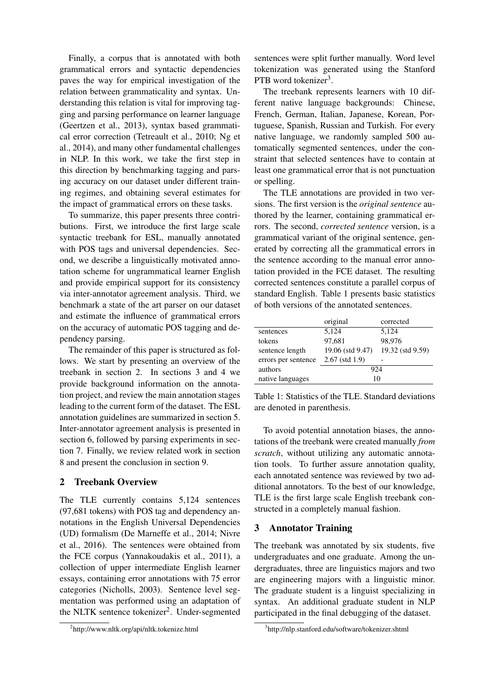Finally, a corpus that is annotated with both grammatical errors and syntactic dependencies paves the way for empirical investigation of the relation between grammaticality and syntax. Understanding this relation is vital for improving tagging and parsing performance on learner language (Geertzen et al., 2013), syntax based grammatical error correction (Tetreault et al., 2010; Ng et al., 2014), and many other fundamental challenges in NLP. In this work, we take the first step in this direction by benchmarking tagging and parsing accuracy on our dataset under different training regimes, and obtaining several estimates for the impact of grammatical errors on these tasks.

To summarize, this paper presents three contributions. First, we introduce the first large scale syntactic treebank for ESL, manually annotated with POS tags and universal dependencies. Second, we describe a linguistically motivated annotation scheme for ungrammatical learner English and provide empirical support for its consistency via inter-annotator agreement analysis. Third, we benchmark a state of the art parser on our dataset and estimate the influence of grammatical errors on the accuracy of automatic POS tagging and dependency parsing.

The remainder of this paper is structured as follows. We start by presenting an overview of the treebank in section 2. In sections 3 and 4 we provide background information on the annotation project, and review the main annotation stages leading to the current form of the dataset. The ESL annotation guidelines are summarized in section 5. Inter-annotator agreement analysis is presented in section 6, followed by parsing experiments in section 7. Finally, we review related work in section 8 and present the conclusion in section 9.

# 2 Treebank Overview

The TLE currently contains 5,124 sentences (97,681 tokens) with POS tag and dependency annotations in the English Universal Dependencies (UD) formalism (De Marneffe et al., 2014; Nivre et al., 2016). The sentences were obtained from the FCE corpus (Yannakoudakis et al., 2011), a collection of upper intermediate English learner essays, containing error annotations with 75 error categories (Nicholls, 2003). Sentence level segmentation was performed using an adaptation of the NLTK sentence tokenizer<sup>2</sup>. Under-segmented

2 http://www.nltk.org/api/nltk.tokenize.html

sentences were split further manually. Word level tokenization was generated using the Stanford PTB word tokenizer<sup>3</sup>.

The treebank represents learners with 10 different native language backgrounds: Chinese, French, German, Italian, Japanese, Korean, Portuguese, Spanish, Russian and Turkish. For every native language, we randomly sampled 500 automatically segmented sentences, under the constraint that selected sentences have to contain at least one grammatical error that is not punctuation or spelling.

The TLE annotations are provided in two versions. The first version is the *original sentence* authored by the learner, containing grammatical errors. The second, *corrected sentence* version, is a grammatical variant of the original sentence, generated by correcting all the grammatical errors in the sentence according to the manual error annotation provided in the FCE dataset. The resulting corrected sentences constitute a parallel corpus of standard English. Table 1 presents basic statistics of both versions of the annotated sentences.

|                     | original         | corrected        |  |  |
|---------------------|------------------|------------------|--|--|
| sentences           | 5,124            | 5,124            |  |  |
| tokens              | 97,681           | 98.976           |  |  |
| sentence length     | 19.06 (std 9.47) | 19.32 (std 9.59) |  |  |
| errors per sentence | $2.67$ (std 1.9) |                  |  |  |
| authors             | 924              |                  |  |  |
| native languages    | 10               |                  |  |  |

Table 1: Statistics of the TLE. Standard deviations are denoted in parenthesis.

To avoid potential annotation biases, the annotations of the treebank were created manually *from scratch*, without utilizing any automatic annotation tools. To further assure annotation quality, each annotated sentence was reviewed by two additional annotators. To the best of our knowledge, TLE is the first large scale English treebank constructed in a completely manual fashion.

# 3 Annotator Training

The treebank was annotated by six students, five undergraduates and one graduate. Among the undergraduates, three are linguistics majors and two are engineering majors with a linguistic minor. The graduate student is a linguist specializing in syntax. An additional graduate student in NLP participated in the final debugging of the dataset.

<sup>3</sup> http://nlp.stanford.edu/software/tokenizer.shtml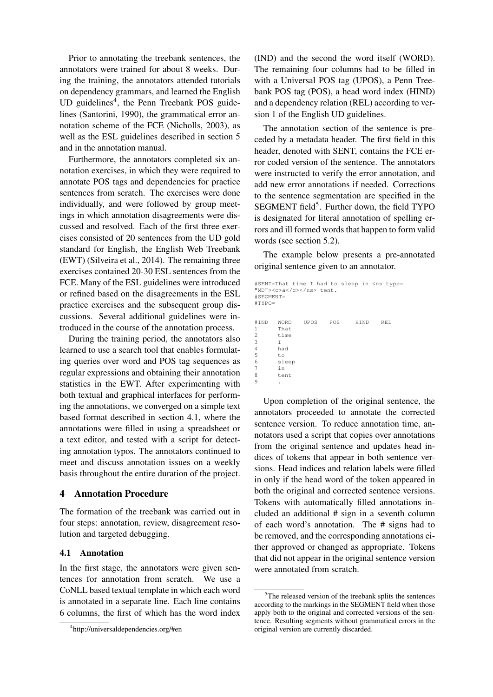Prior to annotating the treebank sentences, the annotators were trained for about 8 weeks. During the training, the annotators attended tutorials on dependency grammars, and learned the English UD guidelines<sup>4</sup>, the Penn Treebank POS guidelines (Santorini, 1990), the grammatical error annotation scheme of the FCE (Nicholls, 2003), as well as the ESL guidelines described in section 5 and in the annotation manual.

Furthermore, the annotators completed six annotation exercises, in which they were required to annotate POS tags and dependencies for practice sentences from scratch. The exercises were done individually, and were followed by group meetings in which annotation disagreements were discussed and resolved. Each of the first three exercises consisted of 20 sentences from the UD gold standard for English, the English Web Treebank (EWT) (Silveira et al., 2014). The remaining three exercises contained 20-30 ESL sentences from the FCE. Many of the ESL guidelines were introduced or refined based on the disagreements in the ESL practice exercises and the subsequent group discussions. Several additional guidelines were introduced in the course of the annotation process.

During the training period, the annotators also learned to use a search tool that enables formulating queries over word and POS tag sequences as regular expressions and obtaining their annotation statistics in the EWT. After experimenting with both textual and graphical interfaces for performing the annotations, we converged on a simple text based format described in section 4.1, where the annotations were filled in using a spreadsheet or a text editor, and tested with a script for detecting annotation typos. The annotators continued to meet and discuss annotation issues on a weekly basis throughout the entire duration of the project.

# 4 Annotation Procedure

The formation of the treebank was carried out in four steps: annotation, review, disagreement resolution and targeted debugging.

#### 4.1 Annotation

In the first stage, the annotators were given sentences for annotation from scratch. We use a CoNLL based textual template in which each word is annotated in a separate line. Each line contains 6 columns, the first of which has the word index

(IND) and the second the word itself (WORD). The remaining four columns had to be filled in with a Universal POS tag (UPOS), a Penn Treebank POS tag (POS), a head word index (HIND) and a dependency relation (REL) according to version 1 of the English UD guidelines.

The annotation section of the sentence is preceded by a metadata header. The first field in this header, denoted with SENT, contains the FCE error coded version of the sentence. The annotators were instructed to verify the error annotation, and add new error annotations if needed. Corrections to the sentence segmentation are specified in the SEGMENT field<sup>5</sup>. Further down, the field TYPO is designated for literal annotation of spelling errors and ill formed words that happen to form valid words (see section 5.2).

The example below presents a pre-annotated original sentence given to an annotator.

```
#SENT=That time I had to sleep in <ns type=
"MD"><c>a</c></ns> tent.
#SEGMENT=
#TYPO=
#IND WORD UPOS POS HIND REL
1 That
2 time
\frac{3}{4}4 had
        to
6 sleep
\begin{array}{ccc} 7 & \text{in} \\ 8 & \text{te} \end{array}8 tent
9 .
```
Upon completion of the original sentence, the annotators proceeded to annotate the corrected sentence version. To reduce annotation time, annotators used a script that copies over annotations from the original sentence and updates head indices of tokens that appear in both sentence versions. Head indices and relation labels were filled in only if the head word of the token appeared in both the original and corrected sentence versions. Tokens with automatically filled annotations included an additional # sign in a seventh column of each word's annotation. The # signs had to be removed, and the corresponding annotations either approved or changed as appropriate. Tokens that did not appear in the original sentence version were annotated from scratch.

<sup>4</sup> http://universaldependencies.org/#en

<sup>&</sup>lt;sup>5</sup>The released version of the treebank splits the sentences according to the markings in the SEGMENT field when those apply both to the original and corrected versions of the sentence. Resulting segments without grammatical errors in the original version are currently discarded.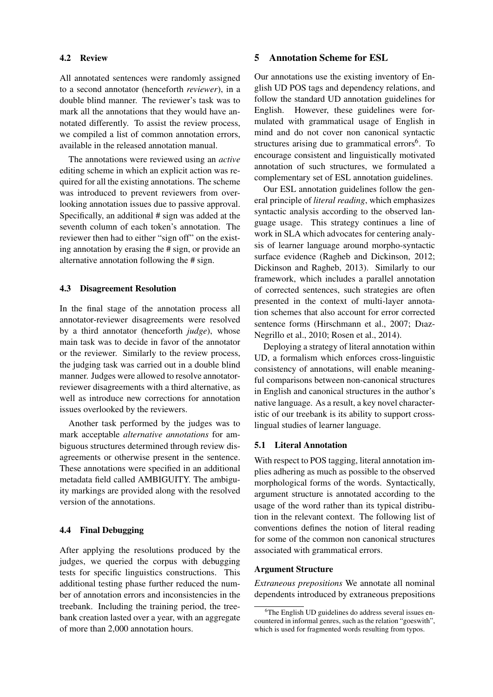#### 4.2 Review

All annotated sentences were randomly assigned to a second annotator (henceforth *reviewer*), in a double blind manner. The reviewer's task was to mark all the annotations that they would have annotated differently. To assist the review process, we compiled a list of common annotation errors, available in the released annotation manual.

The annotations were reviewed using an *active* editing scheme in which an explicit action was required for all the existing annotations. The scheme was introduced to prevent reviewers from overlooking annotation issues due to passive approval. Specifically, an additional # sign was added at the seventh column of each token's annotation. The reviewer then had to either "sign off" on the existing annotation by erasing the # sign, or provide an alternative annotation following the # sign.

# 4.3 Disagreement Resolution

In the final stage of the annotation process all annotator-reviewer disagreements were resolved by a third annotator (henceforth *judge*), whose main task was to decide in favor of the annotator or the reviewer. Similarly to the review process, the judging task was carried out in a double blind manner. Judges were allowed to resolve annotatorreviewer disagreements with a third alternative, as well as introduce new corrections for annotation issues overlooked by the reviewers.

Another task performed by the judges was to mark acceptable *alternative annotations* for ambiguous structures determined through review disagreements or otherwise present in the sentence. These annotations were specified in an additional metadata field called AMBIGUITY. The ambiguity markings are provided along with the resolved version of the annotations.

# 4.4 Final Debugging

After applying the resolutions produced by the judges, we queried the corpus with debugging tests for specific linguistics constructions. This additional testing phase further reduced the number of annotation errors and inconsistencies in the treebank. Including the training period, the treebank creation lasted over a year, with an aggregate of more than 2,000 annotation hours.

#### 5 Annotation Scheme for ESL

Our annotations use the existing inventory of English UD POS tags and dependency relations, and follow the standard UD annotation guidelines for English. However, these guidelines were formulated with grammatical usage of English in mind and do not cover non canonical syntactic structures arising due to grammatical errors<sup>6</sup>. To encourage consistent and linguistically motivated annotation of such structures, we formulated a complementary set of ESL annotation guidelines.

Our ESL annotation guidelines follow the general principle of *literal reading*, which emphasizes syntactic analysis according to the observed language usage. This strategy continues a line of work in SLA which advocates for centering analysis of learner language around morpho-syntactic surface evidence (Ragheb and Dickinson, 2012; Dickinson and Ragheb, 2013). Similarly to our framework, which includes a parallel annotation of corrected sentences, such strategies are often presented in the context of multi-layer annotation schemes that also account for error corrected sentence forms (Hirschmann et al., 2007; Dıaz-Negrillo et al., 2010; Rosen et al., 2014).

Deploying a strategy of literal annotation within UD, a formalism which enforces cross-linguistic consistency of annotations, will enable meaningful comparisons between non-canonical structures in English and canonical structures in the author's native language. As a result, a key novel characteristic of our treebank is its ability to support crosslingual studies of learner language.

#### 5.1 Literal Annotation

With respect to POS tagging, literal annotation implies adhering as much as possible to the observed morphological forms of the words. Syntactically, argument structure is annotated according to the usage of the word rather than its typical distribution in the relevant context. The following list of conventions defines the notion of literal reading for some of the common non canonical structures associated with grammatical errors.

#### Argument Structure

*Extraneous prepositions* We annotate all nominal dependents introduced by extraneous prepositions

<sup>&</sup>lt;sup>6</sup>The English UD guidelines do address several issues encountered in informal genres, such as the relation "goeswith", which is used for fragmented words resulting from typos.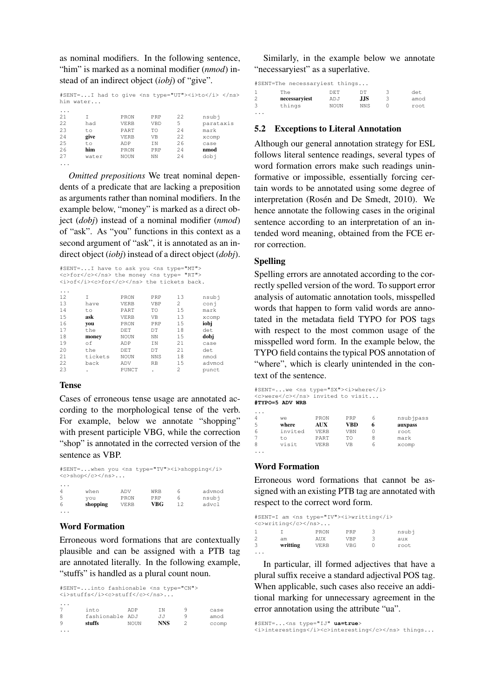as nominal modifiers. In the following sentence, "him" is marked as a nominal modifier (*nmod*) instead of an indirect object (*iobj*) of "give".

| #SENT=I had to give <ns type="UT"><i>to</i> </ns><br>him water |       |             |            |      |           |  |  |
|----------------------------------------------------------------|-------|-------------|------------|------|-----------|--|--|
| .                                                              |       |             |            |      |           |  |  |
| 21                                                             |       | PRON        | PRP        | 22   | nsubi     |  |  |
| 22.2                                                           | had   | <b>VERB</b> | <b>VBD</b> | 5    | parataxis |  |  |
| 23                                                             | to    | PART        | ТO         | 2.4  | mark      |  |  |
| 2.4                                                            | give  | <b>VERB</b> | <b>VB</b>  | 22.2 | xcomp     |  |  |
| 25                                                             | to    | ADP         | T N        | 26   | case      |  |  |
| 26                                                             | him   | PRON        | PRP        | 2.4  | nmod      |  |  |
| 27                                                             | water | NOUN        | NΝ         | 2.4  | dobi      |  |  |
|                                                                |       |             |            |      |           |  |  |

*Omitted prepositions* We treat nominal dependents of a predicate that are lacking a preposition as arguments rather than nominal modifiers. In the example below, "money" is marked as a direct object (*dobj*) instead of a nominal modifier (*nmod*) of "ask". As "you" functions in this context as a second argument of "ask", it is annotated as an indirect object (*iobj*) instead of a direct object (*dobj*).

|      | #SENT=I have to ask you <ns type="MT"></ns> |             |                |                |        |
|------|---------------------------------------------|-------------|----------------|----------------|--------|
|      | <c>for</c> the money <ns type="RT"></ns>    |             |                |                |        |
|      | <i>of</i> <c>for</c> the tickets back.      |             |                |                |        |
|      |                                             |             |                |                |        |
| .    |                                             |             |                |                |        |
| 12   | T                                           | PRON        | PRP            | 1.3            | nsubi  |
| 13   | have                                        | <b>VERB</b> | <b>VBP</b>     | $\overline{2}$ | coni   |
| 14   | to.                                         | PART        | TO             | 15             | mark   |
| 15   | ask                                         | <b>VERB</b> | V <sub>B</sub> | 13             | xcomp  |
| 16   | vou                                         | PRON        | PRP            | 15             | iobi   |
| 17   | the                                         | DET.        | DT.            | 18             | det    |
| 18   | money                                       | <b>NOUN</b> | NN             | 1.5            | dobj   |
| 19   | оf                                          | ADP         | IN             | 21             | case   |
| 20   | the                                         | DET         | DT             | 21             | det    |
| 21   | tickets                                     | <b>NOUN</b> | <b>NNS</b>     | 18             | nmod   |
| 22.2 | back                                        | ADV         | <b>RB</b>      | 1.5            | advmoc |

22 back ADV RB 15 advmod 23 . PUNCT . 2 punct

#### Tense

Cases of erroneous tense usage are annotated according to the morphological tense of the verb. For example, below we annotate "shopping" with present participle VBG, while the correction "shop" is annotated in the corrected version of the sentence as VBP.

| #SENT=when you <ns type="TV"><i>shopping</i></ns> |          |             |            |    |        |  |  |
|---------------------------------------------------|----------|-------------|------------|----|--------|--|--|
| $<$ c>shop                                        |          |             |            |    |        |  |  |
| $\cdot$ $\cdot$ $\cdot$                           |          |             |            |    |        |  |  |
| $\overline{4}$                                    | when     | ADV         | <b>WRB</b> | 6  | advmod |  |  |
| 5                                                 | vou      | PRON        | PRP        | 6  | nsubi  |  |  |
| 6                                                 | shopping | <b>VERB</b> | VBG        | 12 | advcl  |  |  |
|                                                   |          |             |            |    |        |  |  |

# Word Formation

...

Erroneous word formations that are contextually plausible and can be assigned with a PTB tag are annotated literally. In the following example, "stuffs" is handled as a plural count noun.

#SENT=...into fashionable <ns type="CN"> <i>stuffs</i><c>stuff</c></ns>... ... 7 into ADP IN 9 case 8 fashionable ADJ JJ 9 amod<br>9 **stuffs** NOUN **NNS** 2 ccom 9 **stuffs** NOUN **NNS** 2 ccomp

Similarly, in the example below we annotate "necessaryiest" as a superlative.

#SENT=The necessaryiest things...

|         | The           | DE.T | nт         | det  |
|---------|---------------|------|------------|------|
| 2       | necessaryiest | ADJ  | .J.JS      | amod |
|         | things        | NOUN | <b>NNS</b> | root |
| $\cdot$ |               |      |            |      |

# 5.2 Exceptions to Literal Annotation

Although our general annotation strategy for ESL follows literal sentence readings, several types of word formation errors make such readings uninformative or impossible, essentially forcing certain words to be annotated using some degree of interpretation (Rosén and De Smedt, 2010). We hence annotate the following cases in the original sentence according to an interpretation of an intended word meaning, obtained from the FCE error correction.

# Spelling

Spelling errors are annotated according to the correctly spelled version of the word. To support error analysis of automatic annotation tools, misspelled words that happen to form valid words are annotated in the metadata field TYPO for POS tags with respect to the most common usage of the misspelled word form. In the example below, the TYPO field contains the typical POS annotation of "where", which is clearly unintended in the context of the sentence.

```
#SENT=...we <ns type="SX"><i>where</i>
<c>were</c></ns> invited to visit...
#TYPO=5 ADV WRB
```

| 4 | we      | PRON        | PRP |   | nsubjpass |
|---|---------|-------------|-----|---|-----------|
| 5 | where   | AUX         | VBD |   | auxpass   |
| 6 | invited | <b>VERB</b> | VBN |   | root      |
| 7 | tο      | PART        | TΟ  |   | mark      |
| 8 | visit   | <b>VERB</b> | VB  | h | xcomp     |
|   |         |             |     |   |           |

# Word Formation

Erroneous word formations that cannot be assigned with an existing PTB tag are annotated with respect to the correct word form.

| #SENT=I am <ns type="IV"><i>writting</i><br/><c>writing</c></ns> |          |             |            |   |       |  |  |
|------------------------------------------------------------------|----------|-------------|------------|---|-------|--|--|
| -1                                                               |          | PRON        | PRP        | ₹ | nsubi |  |  |
| $\overline{2}$                                                   | am       | <b>AUX</b>  | <b>VRP</b> |   | aux   |  |  |
| 3                                                                | writting | <b>VERB</b> | VBG        |   | root  |  |  |
|                                                                  |          |             |            |   |       |  |  |

In particular, ill formed adjectives that have a plural suffix receive a standard adjectival POS tag. When applicable, such cases also receive an additional marking for unnecessary agreement in the error annotation using the attribute "ua".

#SENT=...<ns type="IJ" **ua=true**> <i>interestings</i><c>interesting</c></ns> things...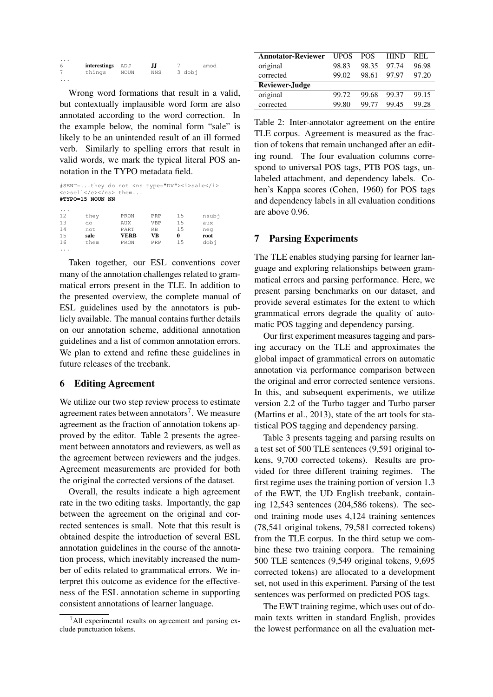| $\cdot$ |                  |      |     |        |      |
|---------|------------------|------|-----|--------|------|
|         | interestings ADJ |      | IJ  |        | amod |
|         | things           | NOUN | NNS | 3 dobi |      |
| .       |                  |      |     |        |      |

Wrong word formations that result in a valid, but contextually implausible word form are also annotated according to the word correction. In the example below, the nominal form "sale" is likely to be an unintended result of an ill formed verb. Similarly to spelling errors that result in valid words, we mark the typical literal POS annotation in the TYPO metadata field.

#SENT=...they do not <ns type="DV"><i>sale</i> <c>sell</c></ns> them... **#TYPO=15 NOUN NN**

| $\cdot$ |      |      |     |    |       |
|---------|------|------|-----|----|-------|
| 12      | they | PRON | PRP | 15 | nsubj |
| 13      | do   | AUX  | VBP | 15 | aux   |
| 14      | not  | PART | RB  | 15 | neg   |
| 15      | sale | VERB | VВ  | 0  | root  |
| 16      | them | PRON | PRP | 15 | dobj  |
| .       |      |      |     |    |       |

Taken together, our ESL conventions cover many of the annotation challenges related to grammatical errors present in the TLE. In addition to the presented overview, the complete manual of ESL guidelines used by the annotators is publicly available. The manual contains further details on our annotation scheme, additional annotation guidelines and a list of common annotation errors. We plan to extend and refine these guidelines in future releases of the treebank.

# 6 Editing Agreement

We utilize our two step review process to estimate agreement rates between annotators<sup>7</sup>. We measure agreement as the fraction of annotation tokens approved by the editor. Table 2 presents the agreement between annotators and reviewers, as well as the agreement between reviewers and the judges. Agreement measurements are provided for both the original the corrected versions of the dataset.

Overall, the results indicate a high agreement rate in the two editing tasks. Importantly, the gap between the agreement on the original and corrected sentences is small. Note that this result is obtained despite the introduction of several ESL annotation guidelines in the course of the annotation process, which inevitably increased the number of edits related to grammatical errors. We interpret this outcome as evidence for the effectiveness of the ESL annotation scheme in supporting consistent annotations of learner language.

| <b>Annotator-Reviewer</b> | <b>UPOS</b> | <b>POS</b> | <b>HIND</b> | REL.  |
|---------------------------|-------------|------------|-------------|-------|
| original                  | 98.83       | 98.35      | 97.74       | 96.98 |
| corrected                 | 99.02       | 98.61      | 97.97       | 97.20 |
| <b>Reviewer-Judge</b>     |             |            |             |       |
| original                  | 99.72       | 99.68      | 99.37       | 99.15 |
| corrected                 | 99.80       | 99 77      | 99.45       | 99.28 |

Table 2: Inter-annotator agreement on the entire TLE corpus. Agreement is measured as the fraction of tokens that remain unchanged after an editing round. The four evaluation columns correspond to universal POS tags, PTB POS tags, unlabeled attachment, and dependency labels. Cohen's Kappa scores (Cohen, 1960) for POS tags and dependency labels in all evaluation conditions are above 0.96.

# 7 Parsing Experiments

The TLE enables studying parsing for learner language and exploring relationships between grammatical errors and parsing performance. Here, we present parsing benchmarks on our dataset, and provide several estimates for the extent to which grammatical errors degrade the quality of automatic POS tagging and dependency parsing.

Our first experiment measures tagging and parsing accuracy on the TLE and approximates the global impact of grammatical errors on automatic annotation via performance comparison between the original and error corrected sentence versions. In this, and subsequent experiments, we utilize version 2.2 of the Turbo tagger and Turbo parser (Martins et al., 2013), state of the art tools for statistical POS tagging and dependency parsing.

Table 3 presents tagging and parsing results on a test set of 500 TLE sentences (9,591 original tokens, 9,700 corrected tokens). Results are provided for three different training regimes. The first regime uses the training portion of version 1.3 of the EWT, the UD English treebank, containing 12,543 sentences (204,586 tokens). The second training mode uses 4,124 training sentences (78,541 original tokens, 79,581 corrected tokens) from the TLE corpus. In the third setup we combine these two training corpora. The remaining 500 TLE sentences (9,549 original tokens, 9,695 corrected tokens) are allocated to a development set, not used in this experiment. Parsing of the test sentences was performed on predicted POS tags.

The EWT training regime, which uses out of domain texts written in standard English, provides the lowest performance on all the evaluation met-

 $^7$ All experimental results on agreement and parsing exclude punctuation tokens.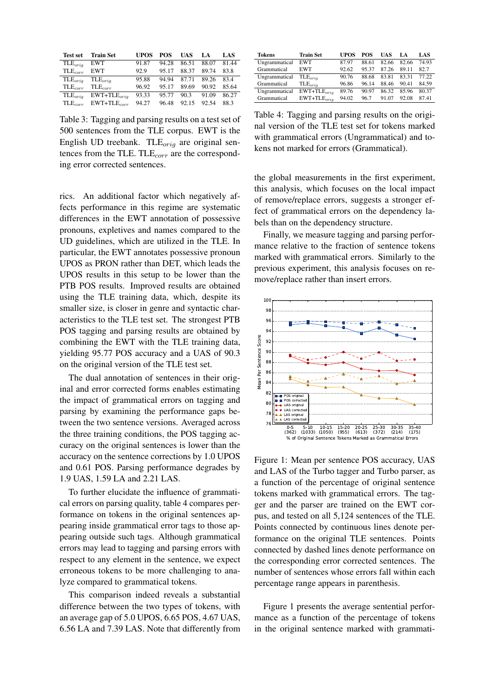| <b>Test set</b>     | <b>Train Set</b>    | UPOS  | POS   | <b>UAS</b> | LA.   | LAS   |
|---------------------|---------------------|-------|-------|------------|-------|-------|
| $\text{TLE}_{orig}$ | <b>EWT</b>          | 91.87 | 94.28 | 86.51      | 88.07 | 81.44 |
| $\text{TLE}_{corr}$ | <b>EWT</b>          | 92.9  | 95.17 | 88.37      | 89.74 | 83.8  |
| $\text{TLE}_{oria}$ | $\text{TLE}_{oria}$ | 95.88 | 94 94 | 87.71      | 89.26 | 834   |
| $\text{TLE}_{corr}$ | $\text{TLE}_{corr}$ | 96.92 | 95.17 | 89.69      | 90.92 | 85.64 |
| $\text{TLE}_{orig}$ | $EWT+TLE_{orig}$    | 93.33 | 95.77 | 90.3       | 91.09 | 86.27 |
| $\text{TLE}_{corr}$ | $EWT+TLE_{corr}$    | 94.27 | 96.48 | 92.15      | 92.54 | 88.3  |

Table 3: Tagging and parsing results on a test set of 500 sentences from the TLE corpus. EWT is the English UD treebank. TLE $_{orig}$  are original sentences from the TLE.  $\text{TLE}_{corr}$  are the corresponding error corrected sentences.

rics. An additional factor which negatively affects performance in this regime are systematic differences in the EWT annotation of possessive pronouns, expletives and names compared to the UD guidelines, which are utilized in the TLE. In particular, the EWT annotates possessive pronoun UPOS as PRON rather than DET, which leads the UPOS results in this setup to be lower than the PTB POS results. Improved results are obtained using the TLE training data, which, despite its smaller size, is closer in genre and syntactic characteristics to the TLE test set. The strongest PTB POS tagging and parsing results are obtained by combining the EWT with the TLE training data, yielding 95.77 POS accuracy and a UAS of 90.3 on the original version of the TLE test set.

The dual annotation of sentences in their original and error corrected forms enables estimating the impact of grammatical errors on tagging and parsing by examining the performance gaps between the two sentence versions. Averaged across the three training conditions, the POS tagging accuracy on the original sentences is lower than the accuracy on the sentence corrections by 1.0 UPOS and 0.61 POS. Parsing performance degrades by 1.9 UAS, 1.59 LA and 2.21 LAS.

To further elucidate the influence of grammatical errors on parsing quality, table 4 compares performance on tokens in the original sentences appearing inside grammatical error tags to those appearing outside such tags. Although grammatical errors may lead to tagging and parsing errors with respect to any element in the sentence, we expect erroneous tokens to be more challenging to analyze compared to grammatical tokens.

This comparison indeed reveals a substantial difference between the two types of tokens, with an average gap of 5.0 UPOS, 6.65 POS, 4.67 UAS, 6.56 LA and 7.39 LAS. Note that differently from

| Tokens        | <b>Train Set</b>    | <b>UPOS</b> | POS   | UAS   | LA.   | LAS   |
|---------------|---------------------|-------------|-------|-------|-------|-------|
| Ungrammatical | <b>EWT</b>          | 87.97       | 88.61 | 82.66 | 82.66 | 74.93 |
| Grammatical   | <b>EWT</b>          | 92.62       | 95.37 | 87.26 | 89.11 | 82.7  |
| Ungrammatical | $\text{TLE}_{oria}$ | 90.76       | 88.68 | 83.81 | 83 31 | 77 22 |
| Grammatical   | $\text{TLE}_{oria}$ | 96.86       | 96.14 | 88.46 | 90.41 | 84.59 |
| Ungrammatical | $EWT+TLE_{orig}$    | 89.76       | 90.97 | 86.32 | 85.96 | 80.37 |
| Grammatical   | $EWT+TLE_{oria}$    | 94.02       | 96.7  | 91.07 | 92.08 | 8741  |

Table 4: Tagging and parsing results on the original version of the TLE test set for tokens marked with grammatical errors (Ungrammatical) and tokens not marked for errors (Grammatical).

the global measurements in the first experiment, this analysis, which focuses on the local impact of remove/replace errors, suggests a stronger effect of grammatical errors on the dependency labels than on the dependency structure.

Finally, we measure tagging and parsing performance relative to the fraction of sentence tokens marked with grammatical errors. Similarly to the previous experiment, this analysis focuses on remove/replace rather than insert errors.



Figure 1: Mean per sentence POS accuracy, UAS and LAS of the Turbo tagger and Turbo parser, as a function of the percentage of original sentence tokens marked with grammatical errors. The tagger and the parser are trained on the EWT corpus, and tested on all 5,124 sentences of the TLE. Points connected by continuous lines denote performance on the original TLE sentences. Points connected by dashed lines denote performance on the corresponding error corrected sentences. The number of sentences whose errors fall within each percentage range appears in parenthesis.

Figure 1 presents the average sentential performance as a function of the percentage of tokens in the original sentence marked with grammati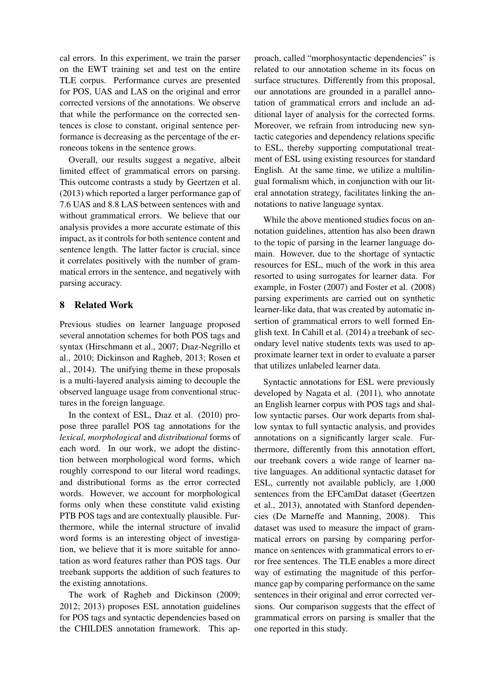cal errors. In this experiment, we train the parser on the EWT training set and test on the entire TLE corpus. Performance curves are presented for POS, UAS and LAS on the original and error corrected versions of the annotations. We observe that while the performance on the corrected sentences is close to constant, original sentence performance is decreasing as the percentage of the erroneous tokens in the sentence grows.

Overall, our results suggest a negative, albeit limited effect of grammatical errors on parsing. This outcome contrasts a study by Geertzen et al. (2013) which reported a larger performance gap of 7.6 UAS and 8.8 LAS between sentences with and without grammatical errors. We believe that our analysis provides a more accurate estimate of this impact, as it controls for both sentence content and sentence length. The latter factor is crucial, since it correlates positively with the number of grammatical errors in the sentence, and negatively with parsing accuracy.

# 8 Related Work

Previous studies on learner language proposed several annotation schemes for both POS tags and syntax (Hirschmann et al., 2007; Dıaz-Negrillo et al., 2010; Dickinson and Ragheb, 2013; Rosen et al., 2014). The unifying theme in these proposals is a multi-layered analysis aiming to decouple the observed language usage from conventional structures in the foreign language.

In the context of ESL, Dıaz et al. (2010) propose three parallel POS tag annotations for the *lexical*, *morphological* and *distributional* forms of each word. In our work, we adopt the distinction between morphological word forms, which roughly correspond to our literal word readings, and distributional forms as the error corrected words. However, we account for morphological forms only when these constitute valid existing PTB POS tags and are contextually plausible. Furthermore, while the internal structure of invalid word forms is an interesting object of investigation, we believe that it is more suitable for annotation as word features rather than POS tags. Our treebank supports the addition of such features to the existing annotations.

The work of Ragheb and Dickinson (2009; 2012; 2013) proposes ESL annotation guidelines for POS tags and syntactic dependencies based on the CHILDES annotation framework. This approach, called "morphosyntactic dependencies" is related to our annotation scheme in its focus on surface structures. Differently from this proposal, our annotations are grounded in a parallel annotation of grammatical errors and include an additional layer of analysis for the corrected forms. Moreover, we refrain from introducing new syntactic categories and dependency relations specific to ESL, thereby supporting computational treatment of ESL using existing resources for standard English. At the same time, we utilize a multilingual formalism which, in conjunction with our literal annotation strategy, facilitates linking the annotations to native language syntax.

While the above mentioned studies focus on annotation guidelines, attention has also been drawn to the topic of parsing in the learner language domain. However, due to the shortage of syntactic resources for ESL, much of the work in this area resorted to using surrogates for learner data. For example, in Foster (2007) and Foster et al. (2008) parsing experiments are carried out on synthetic learner-like data, that was created by automatic insertion of grammatical errors to well formed English text. In Cahill et al. (2014) a treebank of secondary level native students texts was used to approximate learner text in order to evaluate a parser that utilizes unlabeled learner data.

Syntactic annotations for ESL were previously developed by Nagata et al. (2011), who annotate an English learner corpus with POS tags and shallow syntactic parses. Our work departs from shallow syntax to full syntactic analysis, and provides annotations on a significantly larger scale. Furthermore, differently from this annotation effort, our treebank covers a wide range of learner native languages. An additional syntactic dataset for ESL, currently not available publicly, are 1,000 sentences from the EFCamDat dataset (Geertzen et al., 2013), annotated with Stanford dependencies (De Marneffe and Manning, 2008). This dataset was used to measure the impact of grammatical errors on parsing by comparing performance on sentences with grammatical errors to error free sentences. The TLE enables a more direct way of estimating the magnitude of this performance gap by comparing performance on the same sentences in their original and error corrected versions. Our comparison suggests that the effect of grammatical errors on parsing is smaller that the one reported in this study.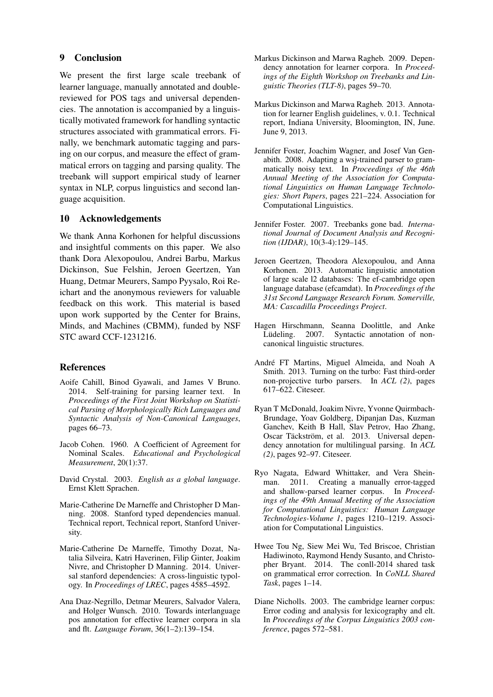# 9 Conclusion

We present the first large scale treebank of learner language, manually annotated and doublereviewed for POS tags and universal dependencies. The annotation is accompanied by a linguistically motivated framework for handling syntactic structures associated with grammatical errors. Finally, we benchmark automatic tagging and parsing on our corpus, and measure the effect of grammatical errors on tagging and parsing quality. The treebank will support empirical study of learner syntax in NLP, corpus linguistics and second language acquisition.

# 10 Acknowledgements

We thank Anna Korhonen for helpful discussions and insightful comments on this paper. We also thank Dora Alexopoulou, Andrei Barbu, Markus Dickinson, Sue Felshin, Jeroen Geertzen, Yan Huang, Detmar Meurers, Sampo Pyysalo, Roi Reichart and the anonymous reviewers for valuable feedback on this work. This material is based upon work supported by the Center for Brains, Minds, and Machines (CBMM), funded by NSF STC award CCF-1231216.

# References

- Aoife Cahill, Binod Gyawali, and James V Bruno. 2014. Self-training for parsing learner text. In *Proceedings of the First Joint Workshop on Statistical Parsing of Morphologically Rich Languages and Syntactic Analysis of Non-Canonical Languages*, pages 66–73.
- Jacob Cohen. 1960. A Coefficient of Agreement for Nominal Scales. *Educational and Psychological Measurement*, 20(1):37.
- David Crystal. 2003. *English as a global language*. Ernst Klett Sprachen.
- Marie-Catherine De Marneffe and Christopher D Manning. 2008. Stanford typed dependencies manual. Technical report, Technical report, Stanford University.
- Marie-Catherine De Marneffe, Timothy Dozat, Natalia Silveira, Katri Haverinen, Filip Ginter, Joakim Nivre, and Christopher D Manning. 2014. Universal stanford dependencies: A cross-linguistic typology. In *Proceedings of LREC*, pages 4585–4592.
- Ana Dıaz-Negrillo, Detmar Meurers, Salvador Valera, and Holger Wunsch. 2010. Towards interlanguage pos annotation for effective learner corpora in sla and flt. *Language Forum*, 36(1–2):139–154.
- Markus Dickinson and Marwa Ragheb. 2009. Dependency annotation for learner corpora. In *Proceedings of the Eighth Workshop on Treebanks and Linguistic Theories (TLT-8)*, pages 59–70.
- Markus Dickinson and Marwa Ragheb. 2013. Annotation for learner English guidelines, v. 0.1. Technical report, Indiana University, Bloomington, IN, June. June 9, 2013.
- Jennifer Foster, Joachim Wagner, and Josef Van Genabith. 2008. Adapting a wsj-trained parser to grammatically noisy text. In *Proceedings of the 46th Annual Meeting of the Association for Computational Linguistics on Human Language Technologies: Short Papers*, pages 221–224. Association for Computational Linguistics.
- Jennifer Foster. 2007. Treebanks gone bad. *International Journal of Document Analysis and Recognition (IJDAR)*, 10(3-4):129–145.
- Jeroen Geertzen, Theodora Alexopoulou, and Anna Korhonen. 2013. Automatic linguistic annotation of large scale l2 databases: The ef-cambridge open language database (efcamdat). In *Proceedings of the 31st Second Language Research Forum. Somerville, MA: Cascadilla Proceedings Project*.
- Hagen Hirschmann, Seanna Doolittle, and Anke<br>Lüdeling. 2007. Syntactic annotation of non-Lüdeling. 2007. Syntactic annotation of noncanonical linguistic structures.
- André FT Martins, Miguel Almeida, and Noah A Smith. 2013. Turning on the turbo: Fast third-order non-projective turbo parsers. In *ACL (2)*, pages 617–622. Citeseer.
- Ryan T McDonald, Joakim Nivre, Yvonne Quirmbach-Brundage, Yoav Goldberg, Dipanjan Das, Kuzman Ganchev, Keith B Hall, Slav Petrov, Hao Zhang, Oscar Täckström, et al. 2013. Universal dependency annotation for multilingual parsing. In *ACL (2)*, pages 92–97. Citeseer.
- Ryo Nagata, Edward Whittaker, and Vera Sheinman. 2011. Creating a manually error-tagged and shallow-parsed learner corpus. In *Proceedings of the 49th Annual Meeting of the Association for Computational Linguistics: Human Language Technologies-Volume 1*, pages 1210–1219. Association for Computational Linguistics.
- Hwee Tou Ng, Siew Mei Wu, Ted Briscoe, Christian Hadiwinoto, Raymond Hendy Susanto, and Christopher Bryant. 2014. The conll-2014 shared task on grammatical error correction. In *CoNLL Shared Task*, pages 1–14.
- Diane Nicholls. 2003. The cambridge learner corpus: Error coding and analysis for lexicography and elt. In *Proceedings of the Corpus Linguistics 2003 conference*, pages 572–581.